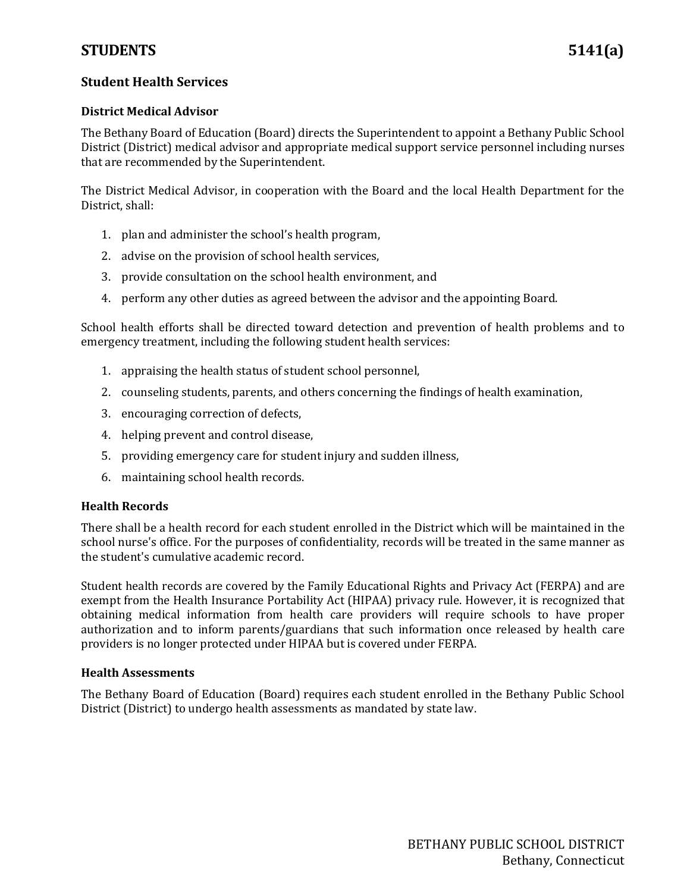### **Student Health Services**

#### **District Medical Advisor**

The Bethany Board of Education (Board) directs the Superintendent to appoint a Bethany Public School District (District) medical advisor and appropriate medical support service personnel including nurses that are recommended by the Superintendent.

The District Medical Advisor, in cooperation with the Board and the local Health Department for the District, shall:

- 1. plan and administer the school's health program,
- 2. advise on the provision of school health services,
- 3. provide consultation on the school health environment, and
- 4. perform any other duties as agreed between the advisor and the appointing Board.

School health efforts shall be directed toward detection and prevention of health problems and to emergency treatment, including the following student health services:

- 1. appraising the health status of student school personnel,
- 2. counseling students, parents, and others concerning the findings of health examination,
- 3. encouraging correction of defects,
- 4. helping prevent and control disease,
- 5. providing emergency care for student injury and sudden illness,
- 6. maintaining school health records.

#### **Health Records**

There shall be a health record for each student enrolled in the District which will be maintained in the school nurse's office. For the purposes of confidentiality, records will be treated in the same manner as the student's cumulative academic record.

Student health records are covered by the Family Educational Rights and Privacy Act (FERPA) and are exempt from the Health Insurance Portability Act (HIPAA) privacy rule. However, it is recognized that obtaining medical information from health care providers will require schools to have proper authorization and to inform parents/guardians that such information once released by health care providers is no longer protected under HIPAA but is covered under FERPA.

#### **Health Assessments**

The Bethany Board of Education (Board) requires each student enrolled in the Bethany Public School District (District) to undergo health assessments as mandated by state law.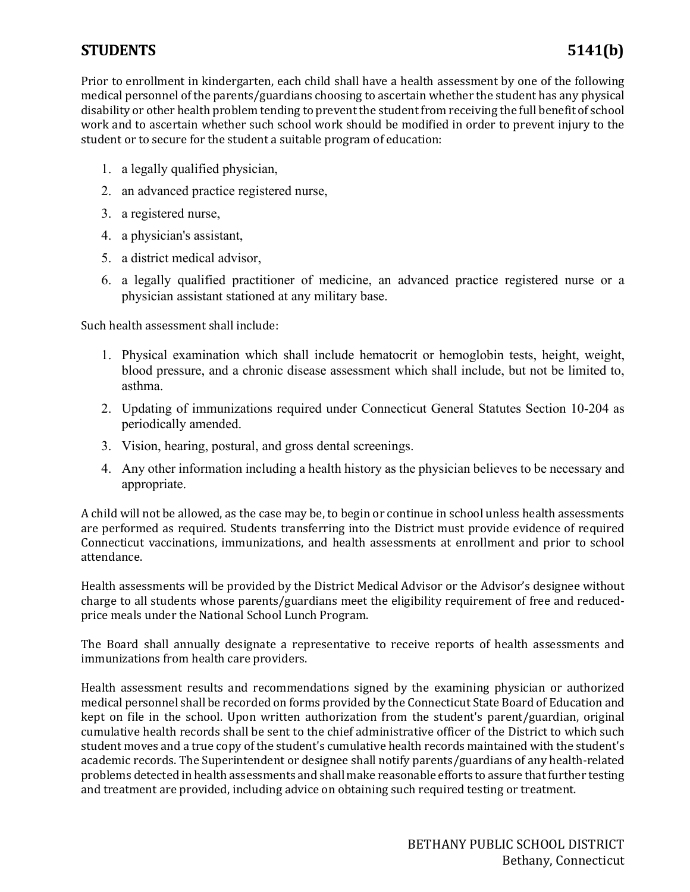## **STUDENTS 5141(b)**

Prior to enrollment in kindergarten, each child shall have a health assessment by one of the following medical personnel of the parents/guardians choosing to ascertain whether the student has any physical disability or other health problem tending to prevent the student from receiving the full benefit of school work and to ascertain whether such school work should be modified in order to prevent injury to the student or to secure for the student a suitable program of education:

- 1. a legally qualified physician,
- 2. an advanced practice registered nurse,
- 3. a registered nurse,
- 4. a physician's assistant,
- 5. a district medical advisor,
- 6. a legally qualified practitioner of medicine, an advanced practice registered nurse or a physician assistant stationed at any military base.

Such health assessment shall include:

- 1. Physical examination which shall include hematocrit or hemoglobin tests, height, weight, blood pressure, and a chronic disease assessment which shall include, but not be limited to, asthma.
- 2. Updating of immunizations required under Connecticut General Statutes Section [10-](https://www.cga.ct.gov/current/pub/title_10.htm)204 as periodically amended.
- 3. Vision, hearing, postural, and gross dental screenings.
- 4. Any other information including a health history as the physician believes to be necessary and appropriate.

A child will not be allowed, as the case may be, to begin or continue in school unless health assessments are performed as required. Students transferring into the District must provide evidence of required Connecticut vaccinations, immunizations, and health assessments at enrollment and prior to school attendance.

Health assessments will be provided by the District Medical Advisor or the Advisor's designee without charge to all students whose parents/guardians meet the eligibility requirement of free and reducedprice meals under the National School Lunch Program.

The Board shall annually designate a representative to receive reports of health assessments and immunizations from health care providers.

Health assessment results and recommendations signed by the examining physician or authorized medical personnel shall be recorded on forms provided by the Connecticut State Board of Education and kept on file in the school. Upon written authorization from the student's parent/guardian, original cumulative health records shall be sent to the chief administrative officer of the District to which such student moves and a true copy of the student's cumulative health records maintained with the student's academic records. The Superintendent or designee shall notify parents/guardians of any health-related problems detected in health assessments and shall make reasonable efforts to assure that further testing and treatment are provided, including advice on obtaining such required testing or treatment.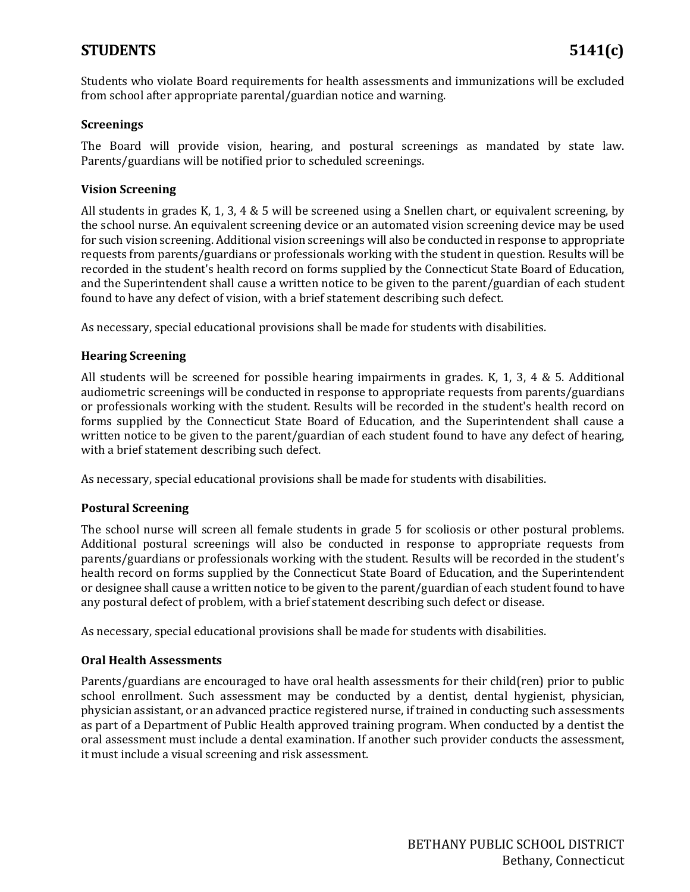## **STUDENTS 5141(c)**

Students who violate Board requirements for health assessments and immunizations will be excluded from school after appropriate parental/guardian notice and warning.

#### **Screenings**

The Board will provide vision, hearing, and postural screenings as mandated by state law. Parents/guardians will be notified prior to scheduled screenings.

#### **Vision Screening**

All students in grades K, 1, 3, 4 & 5 will be screened using a Snellen chart, or equivalent screening, by the school nurse. An equivalent screening device or an automated vision screening device may be used for such vision screening. Additional vision screenings will also be conducted in response to appropriate requests from parents/guardians or professionals working with the student in question. Results will be recorded in the student's health record on forms supplied by the Connecticut State Board of Education, and the Superintendent shall cause a written notice to be given to the parent/guardian of each student found to have any defect of vision, with a brief statement describing such defect.

As necessary, special educational provisions shall be made for students with disabilities.

#### **Hearing Screening**

All students will be screened for possible hearing impairments in grades. K, 1, 3, 4 & 5. Additional audiometric screenings will be conducted in response to appropriate requests from parents/guardians or professionals working with the student. Results will be recorded in the student's health record on forms supplied by the Connecticut State Board of Education, and the Superintendent shall cause a written notice to be given to the parent/guardian of each student found to have any defect of hearing, with a brief statement describing such defect.

As necessary, special educational provisions shall be made for students with disabilities.

#### **Postural Screening**

The school nurse will screen all female students in grade 5 for scoliosis or other postural problems. Additional postural screenings will also be conducted in response to appropriate requests from parents/guardians or professionals working with the student. Results will be recorded in the student's health record on forms supplied by the Connecticut State Board of Education, and the Superintendent or designee shall cause a written notice to be given to the parent/guardian of each student found to have any postural defect of problem, with a brief statement describing such defect or disease.

As necessary, special educational provisions shall be made for students with disabilities.

#### **Oral Health Assessments**

Parents/guardians are encouraged to have oral health assessments for their child(ren) prior to public school enrollment. Such assessment may be conducted by a dentist, dental hygienist, physician, physician assistant, or an advanced practice registered nurse, if trained in conducting such assessments as part of a Department of Public Health approved training program. When conducted by a dentist the oral assessment must include a dental examination. If another such provider conducts the assessment, it must include a visual screening and risk assessment.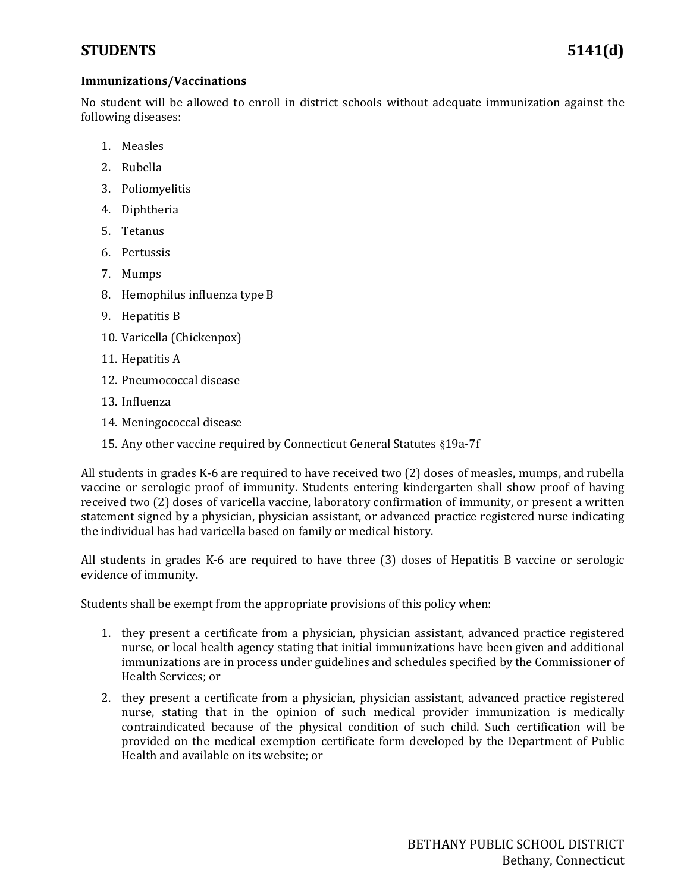## **STUDENTS 5141(d)**

#### **Immunizations/Vaccinations**

No student will be allowed to enroll in district schools without adequate immunization against the following diseases:

- 1. Measles
- 2. Rubella
- 3. Poliomyelitis
- 4. Diphtheria
- 5. Tetanus
- 6. Pertussis
- 7. Mumps
- 8. Hemophilus influenza type B
- 9. Hepatitis B
- 10. Varicella (Chickenpox)
- 11. Hepatitis A
- 12. Pneumococcal disease
- 13. Influenza
- 14. Meningococcal disease
- 15. Any other vaccine required by Connecticut General Statutes §19a-7f

All students in grades K-6 are required to have received two (2) doses of measles, mumps, and rubella vaccine or serologic proof of immunity. Students entering kindergarten shall show proof of having received two (2) doses of varicella vaccine, laboratory confirmation of immunity, or present a written statement signed by a physician, physician assistant, or advanced practice registered nurse indicating the individual has had varicella based on family or medical history.

All students in grades K-6 are required to have three (3) doses of Hepatitis B vaccine or serologic evidence of immunity.

Students shall be exempt from the appropriate provisions of this policy when:

- 1. they present a certificate from a physician, physician assistant, advanced practice registered nurse, or local health agency stating that initial immunizations have been given and additional immunizations are in process under guidelines and schedules specified by the Commissioner of Health Services; or
- 2. they present a certificate from a physician, physician assistant, advanced practice registered nurse, stating that in the opinion of such medical provider immunization is medically contraindicated because of the physical condition of such child. Such certification will be provided on the medical exemption certificate form developed by the Department of Public Health and available on its website; or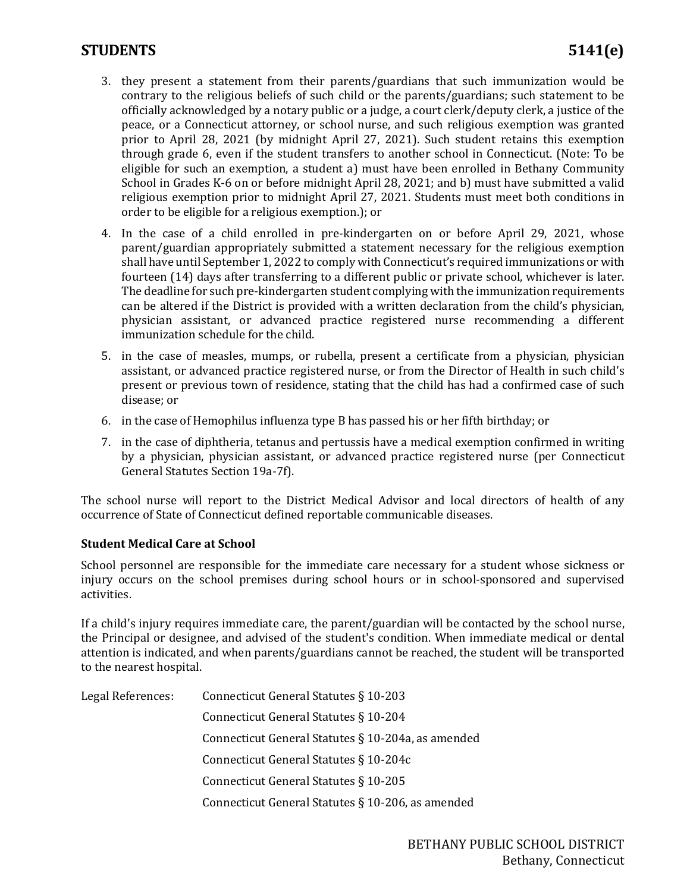## **STUDENTS 5141(e)**

- 3. they present a statement from their parents/guardians that such immunization would be contrary to the religious beliefs of such child or the parents/guardians; such statement to be officially acknowledged by a notary public or a judge, a court clerk/deputy clerk, a justice of the peace, or a Connecticut attorney, or school nurse, and such religious exemption was granted prior to April 28, 2021 (by midnight April 27, 2021). Such student retains this exemption through grade 6, even if the student transfers to another school in Connecticut. (Note: To be eligible for such an exemption, a student a) must have been enrolled in Bethany Community School in Grades K-6 on or before midnight April 28, 2021; and b) must have submitted a valid religious exemption prior to midnight April 27, 2021. Students must meet both conditions in order to be eligible for a religious exemption.); or
- 4. In the case of a child enrolled in pre-kindergarten on or before April 29, 2021, whose parent/guardian appropriately submitted a statement necessary for the religious exemption shall have until September 1, 2022 to comply with Connecticut's required immunizations or with fourteen (14) days after transferring to a different public or private school, whichever is later. The deadline for such pre-kindergarten student complying with the immunization requirements can be altered if the District is provided with a written declaration from the child's physician, physician assistant, or advanced practice registered nurse recommending a different immunization schedule for the child.
- 5. in the case of measles, mumps, or rubella, present a certificate from a physician, physician assistant, or advanced practice registered nurse, or from the Director of Health in such child's present or previous town of residence, stating that the child has had a confirmed case of such disease; or
- 6. in the case of Hemophilus influenza type B has passed his or her fifth birthday; or
- 7. in the case of diphtheria, tetanus and pertussis have a medical exemption confirmed in writing by a physician, physician assistant, or advanced practice registered nurse (per Connecticut General Statutes Section 19a-7f).

The school nurse will report to the District Medical Advisor and local directors of health of any occurrence of State of Connecticut defined reportable communicable diseases.

#### **Student Medical Care at School**

School personnel are responsible for the immediate care necessary for a student whose sickness or injury occurs on the school premises during school hours or in school-sponsored and supervised activities.

If a child's injury requires immediate care, the parent/guardian will be contacted by the school nurse, the Principal or designee, and advised of the student's condition. When immediate medical or dental attention is indicated, and when parents/guardians cannot be reached, the student will be transported to the nearest hospital.

| Legal References: | Connecticut General Statutes § 10-203              |
|-------------------|----------------------------------------------------|
|                   | Connecticut General Statutes § 10-204              |
|                   | Connecticut General Statutes § 10-204a, as amended |
|                   | Connecticut General Statutes § 10-204c             |
|                   | Connecticut General Statutes § 10-205              |
|                   | Connecticut General Statutes § 10-206, as amended  |